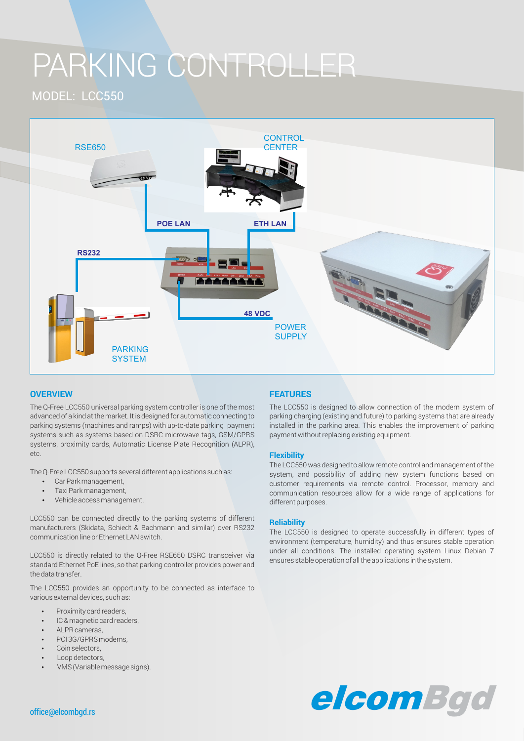# PARKING CONTROLLER

MODEL: LCC550



## **OVERVIEW FEATURES**

The Q-Free LCC550 universal parking system controller is one of the most advanced of a kind at the market. It is designed for automatic connecting to parking systems (machines and ramps) with up-to-date parking payment systems such as systems based on DSRC microwave tags, GSM/GPRS systems, proximity cards, Automatic License Plate Recognition (ALPR), etc.

The Q-Free LCC550 supports several different applications such as:

- Car Park management,
- Taxi Park management,
- Vehicle access management.

LCC550 can be connected directly to the parking systems of different manufacturers (Skidata, Schiedt & Bachmann and similar) over RS232 communication line or Ethernet LAN switch.

LCC550 is directly related to the Q-Free RSE650 DSRC transceiver via standard Ethernet PoE lines, so that parking controller provides power and the data transfer.

The LCC550 provides an opportunity to be connected as interface to various external devices, such as:

- Proximity card readers,
- IC & magnetic card readers.
- ALPR cameras.
- PCI 3G/GPRS modems,
- Coin selectors,
- Loop detectors
- VMS (Variable message signs).

The LCC550 is designed to allow connection of the modern system of parking charging (existing and future) to parking systems that are already installed in the parking area. This enables the improvement of parking payment without replacing existing equipment.

#### **Flexibility**

The LCC550 was designed to allow remote control and management of the system, and possibility of adding new system functions based on customer requirements via remote control. Processor, memory and communication resources allow for a wide range of applications for different purposes.

### **Reliability**

The LCC550 is designed to operate successfully in different types of environment (temperature, humidity) and thus ensures stable operation under all conditions. The installed operating system Linux Debian 7 ensures stable operation of all the applications in the system.